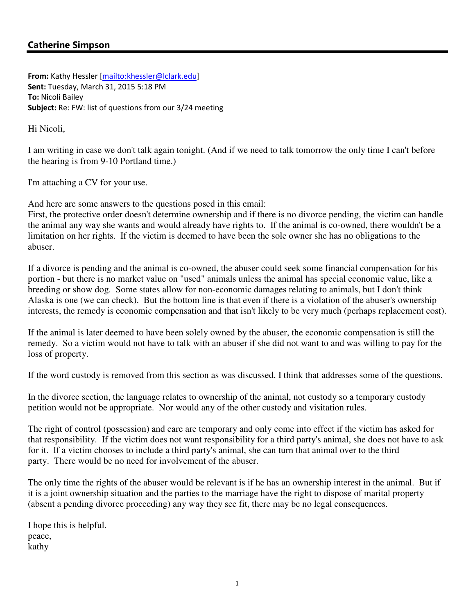# Catherine Simpson

From: Kathy Hessler [mailto:khessler@lclark.edu] Sent: Tuesday, March 31, 2015 5:18 PM To: Nicoli Bailey Subject: Re: FW: list of questions from our 3/24 meeting

Hi Nicoli,

I am writing in case we don't talk again tonight. (And if we need to talk tomorrow the only time I can't before the hearing is from 9-10 Portland time.)

I'm attaching a CV for your use.

And here are some answers to the questions posed in this email:

First, the protective order doesn't determine ownership and if there is no divorce pending, the victim can handle the animal any way she wants and would already have rights to. If the animal is co-owned, there wouldn't be a limitation on her rights. If the victim is deemed to have been the sole owner she has no obligations to the abuser.

If a divorce is pending and the animal is co-owned, the abuser could seek some financial compensation for his portion - but there is no market value on "used" animals unless the animal has special economic value, like a breeding or show dog. Some states allow for non-economic damages relating to animals, but I don't think Alaska is one (we can check). But the bottom line is that even if there is a violation of the abuser's ownership interests, the remedy is economic compensation and that isn't likely to be very much (perhaps replacement cost).

If the animal is later deemed to have been solely owned by the abuser, the economic compensation is still the remedy. So a victim would not have to talk with an abuser if she did not want to and was willing to pay for the loss of property.

If the word custody is removed from this section as was discussed, I think that addresses some of the questions.

In the divorce section, the language relates to ownership of the animal, not custody so a temporary custody petition would not be appropriate. Nor would any of the other custody and visitation rules.

The right of control (possession) and care are temporary and only come into effect if the victim has asked for that responsibility. If the victim does not want responsibility for a third party's animal, she does not have to ask for it. If a victim chooses to include a third party's animal, she can turn that animal over to the third party. There would be no need for involvement of the abuser.

The only time the rights of the abuser would be relevant is if he has an ownership interest in the animal. But if it is a joint ownership situation and the parties to the marriage have the right to dispose of marital property (absent a pending divorce proceeding) any way they see fit, there may be no legal consequences.

I hope this is helpful. peace, kathy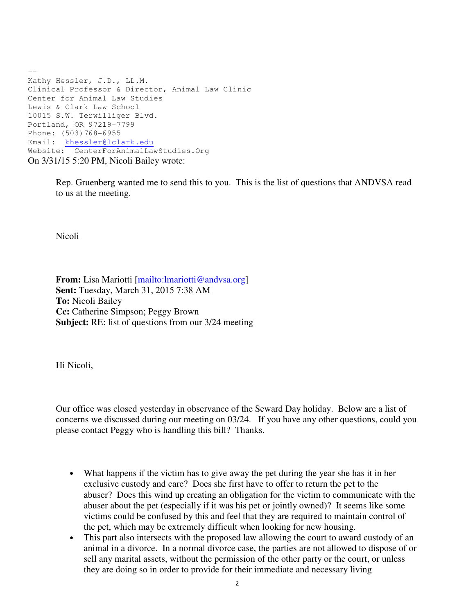$-$ Kathy Hessler, J.D., LL.M. Clinical Professor & Director, Animal Law Clinic Center for Animal Law Studies Lewis & Clark Law School 10015 S.W. Terwilliger Blvd. Portland, OR 97219-7799 Phone: (503)768-6955 Email: khessler@lclark.edu Website: CenterForAnimalLawStudies.Org On 3/31/15 5:20 PM, Nicoli Bailey wrote:

> Rep. Gruenberg wanted me to send this to you. This is the list of questions that ANDVSA read to us at the meeting.

Nicoli

**From:** Lisa Mariotti [mailto: lmariotti @andvsa.org] **Sent:** Tuesday, March 31, 2015 7:38 AM **To:** Nicoli Bailey **Cc:** Catherine Simpson; Peggy Brown **Subject:** RE: list of questions from our 3/24 meeting

Hi Nicoli,

Our office was closed yesterday in observance of the Seward Day holiday. Below are a list of concerns we discussed during our meeting on 03/24. If you have any other questions, could you please contact Peggy who is handling this bill? Thanks.

- What happens if the victim has to give away the pet during the year she has it in her exclusive custody and care? Does she first have to offer to return the pet to the abuser? Does this wind up creating an obligation for the victim to communicate with the abuser about the pet (especially if it was his pet or jointly owned)? It seems like some victims could be confused by this and feel that they are required to maintain control of the pet, which may be extremely difficult when looking for new housing.
- This part also intersects with the proposed law allowing the court to award custody of an animal in a divorce. In a normal divorce case, the parties are not allowed to dispose of or sell any marital assets, without the permission of the other party or the court, or unless they are doing so in order to provide for their immediate and necessary living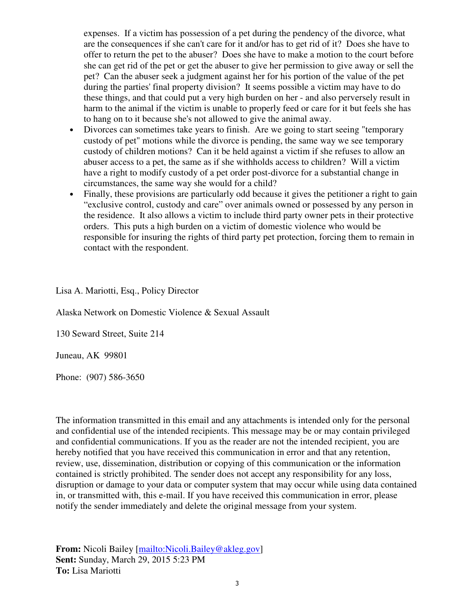expenses. If a victim has possession of a pet during the pendency of the divorce, what are the consequences if she can't care for it and/or has to get rid of it? Does she have to offer to return the pet to the abuser? Does she have to make a motion to the court before she can get rid of the pet or get the abuser to give her permission to give away or sell the pet? Can the abuser seek a judgment against her for his portion of the value of the pet during the parties' final property division? It seems possible a victim may have to do these things, and that could put a very high burden on her - and also perversely result in harm to the animal if the victim is unable to properly feed or care for it but feels she has to hang on to it because she's not allowed to give the animal away.

- Divorces can sometimes take years to finish. Are we going to start seeing "temporary" custody of pet" motions while the divorce is pending, the same way we see temporary custody of children motions? Can it be held against a victim if she refuses to allow an abuser access to a pet, the same as if she withholds access to children? Will a victim have a right to modify custody of a pet order post-divorce for a substantial change in circumstances, the same way she would for a child?
- Finally, these provisions are particularly odd because it gives the petitioner a right to gain "exclusive control, custody and care" over animals owned or possessed by any person in the residence. It also allows a victim to include third party owner pets in their protective orders. This puts a high burden on a victim of domestic violence who would be responsible for insuring the rights of third party pet protection, forcing them to remain in contact with the respondent.

Lisa A. Mariotti, Esq., Policy Director

Alaska Network on Domestic Violence & Sexual Assault

130 Seward Street, Suite 214

Juneau, AK 99801

Phone: (907) 586-3650

The information transmitted in this email and any attachments is intended only for the personal and confidential use of the intended recipients. This message may be or may contain privileged and confidential communications. If you as the reader are not the intended recipient, you are hereby notified that you have received this communication in error and that any retention, review, use, dissemination, distribution or copying of this communication or the information contained is strictly prohibited. The sender does not accept any responsibility for any loss, disruption or damage to your data or computer system that may occur while using data contained in, or transmitted with, this e-mail. If you have received this communication in error, please notify the sender immediately and delete the original message from your system.

**From:** Nicoli Bailey [mailto:Nicoli.Bailey@akleg.gov] **Sent:** Sunday, March 29, 2015 5:23 PM **To:** Lisa Mariotti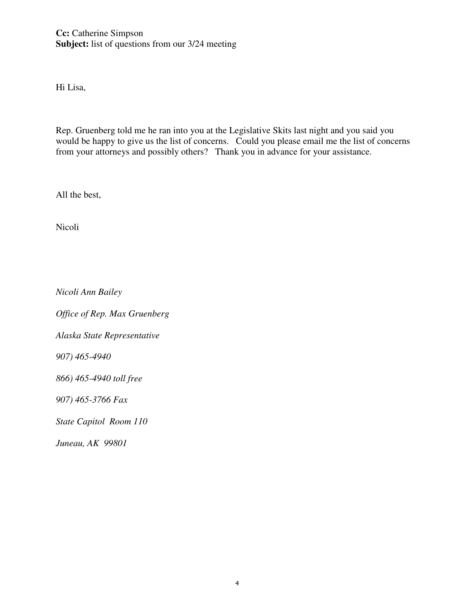# **Cc:** Catherine Simpson **Subject:** list of questions from our 3/24 meeting

Hi Lisa,

Rep. Gruenberg told me he ran into you at the Legislative Skits last night and you said you would be happy to give us the list of concerns. Could you please email me the list of concerns from your attorneys and possibly others? Thank you in advance for your assistance.

All the best,

Nicoli

*Nicoli Ann Bailey Office of Rep. Max Gruenberg Alaska State Representative 907) 465-4940 866) 465-4940 toll free 907) 465-3766 Fax State Capitol Room 110*

*Juneau, AK 99801*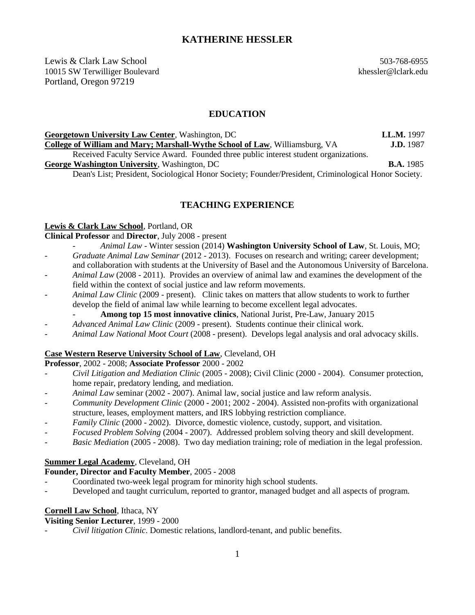# **KATHERINE HESSLER**

Lewis & Clark Law School 503-768-6955 10015 SW Terwilliger Boulevard khessler@lclark.edu Portland, Oregon 97219

### **EDUCATION**

| <b>Georgetown University Law Center, Washington, DC</b>                                              | <b>LL.M.</b> 1997 |
|------------------------------------------------------------------------------------------------------|-------------------|
| College of William and Mary; Marshall-Wythe School of Law, Williamsburg, VA                          | <b>J.D.</b> 1987  |
| Received Faculty Service Award. Founded three public interest student organizations.                 |                   |
| <b>George Washington University, Washington, DC</b>                                                  | <b>B.A.</b> 1985  |
| Dean's List; President, Sociological Honor Society; Founder/President, Criminological Honor Society. |                   |

### **TEACHING EXPERIENCE**

#### **Lewis & Clark Law School**, Portland, OR

**Clinical Professor** and **Director**, July 2008 - present

- *Animal Law* Winter session (2014) **Washington University School of Law**, St. Louis, MO;
- *Graduate Animal Law Seminar* (2012 2013). Focuses on research and writing; career development; and collaboration with students at the University of Basel and the Autonomous University of Barcelona.
- *Animal Law* (2008 2011). Provides an overview of animal law and examines the development of the field within the context of social justice and law reform movements.
- *Animal Law Clinic* (2009 present). Clinic takes on matters that allow students to work to further develop the field of animal law while learning to become excellent legal advocates.
	- **Among top 15 most innovative clinics**, National Jurist, Pre-Law, January 2015
	- *Advanced Animal Law Clinic* (2009 present). Students continue their clinical work.
- *Animal Law National Moot Court* (2008 present). Develops legal analysis and oral advocacy skills.

#### **Case Western Reserve University School of Law**, Cleveland, OH

#### **Professor**, 2002 - 2008; **Associate Professor** 2000 - 2002

- *Civil Litigation and Mediation Clinic* (2005 2008); Civil Clinic (2000 2004). Consumer protection, home repair, predatory lending, and mediation.
- *Animal Law* seminar (2002 2007). Animal law, social justice and law reform analysis.
- *Community Development Clinic* (2000 2001; 2002 2004). Assisted non-profits with organizational structure, leases, employment matters, and IRS lobbying restriction compliance.
- *Family Clinic* (2000 2002). Divorce, domestic violence, custody, support, and visitation.
- *Focused Problem Solving* (2004 2007). Addressed problem solving theory and skill development.
- *Basic Mediation* (2005 2008). Two day mediation training; role of mediation in the legal profession.

#### **Summer Legal Academy**, Cleveland, OH

- **Founder, Director and Faculty Member**, 2005 2008
- Coordinated two-week legal program for minority high school students.
- Developed and taught curriculum, reported to grantor, managed budget and all aspects of program.

### **Cornell Law School**, Ithaca, NY

### **Visiting Senior Lecturer**, 1999 - 2000

- *Civil litigation Clinic*. Domestic relations, landlord-tenant, and public benefits.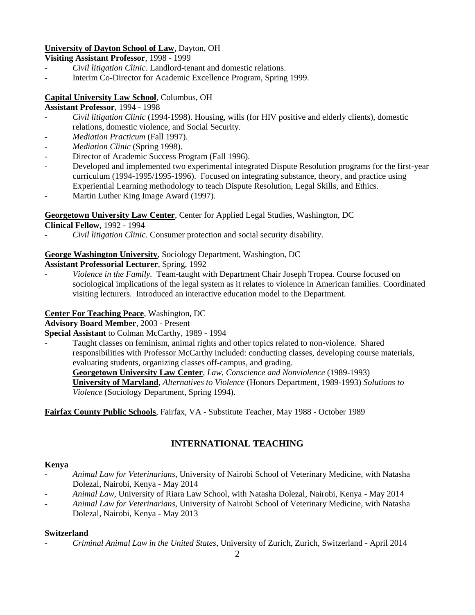# **University of Dayton School of Law**, Dayton, OH

**Visiting Assistant Professor**, 1998 - 1999

- *Civil litigation Clinic.* Landlord-tenant and domestic relations.
- Interim Co-Director for Academic Excellence Program, Spring 1999.

# **Capital University Law School**, Columbus, OH

## **Assistant Professor**, 1994 - 1998

- *Civil litigation Clinic* (1994-1998). Housing, wills (for HIV positive and elderly clients), domestic relations, domestic violence, and Social Security.
- *Mediation Practicum* (Fall 1997).
- *Mediation Clinic* (Spring 1998).
- Director of Academic Success Program (Fall 1996).
- Developed and implemented two experimental integrated Dispute Resolution programs for the first-year curriculum (1994-1995/1995-1996). Focused on integrating substance, theory, and practice using Experiential Learning methodology to teach Dispute Resolution, Legal Skills, and Ethics.
- Martin Luther King Image Award (1997).

# **Georgetown University Law Center**, Center for Applied Legal Studies, Washington, DC

**Clinical Fellow**, 1992 - 1994

- *Civil litigation Clinic*. Consumer protection and social security disability.

# **George Washington University**, Sociology Department, Washington, DC

**Assistant Professorial Lecturer**, Spring, 1992

- *Violence in the Family.* Team-taught with Department Chair Joseph Tropea. Course focused on sociological implications of the legal system as it relates to violence in American families. Coordinated visiting lecturers. Introduced an interactive education model to the Department.

# **Center For Teaching Peace**, Washington, DC

**Advisory Board Member**, 2003 - Present

## **Special Assistant** to Colman McCarthy, 1989 - 1994

Taught classes on feminism, animal rights and other topics related to non-violence. Shared responsibilities with Professor McCarthy included: conducting classes, developing course materials, evaluating students, organizing classes off-campus, and grading. **Georgetown University Law Center**, *Law, Conscience and Nonviolence* (1989-1993) **University of Maryland**, *Alternatives to Violence* (Honors Department, 1989-1993) *Solutions to Violence* (Sociology Department, Spring 1994).

**Fairfax County Public Schools**, Fairfax, VA - Substitute Teacher, May 1988 - October 1989

# **INTERNATIONAL TEACHING**

## **Kenya**

- *Animal Law for Veterinarians*, University of Nairobi School of Veterinary Medicine, with Natasha Dolezal, Nairobi, Kenya - May 2014
- *Animal Law*, University of Riara Law School, with Natasha Dolezal, Nairobi, Kenya May 2014
- *Animal Law for Veterinarians*, University of Nairobi School of Veterinary Medicine, with Natasha Dolezal, Nairobi, Kenya - May 2013

## **Switzerland**

- *Criminal Animal Law in the United States*, University of Zurich, Zurich, Switzerland - April 2014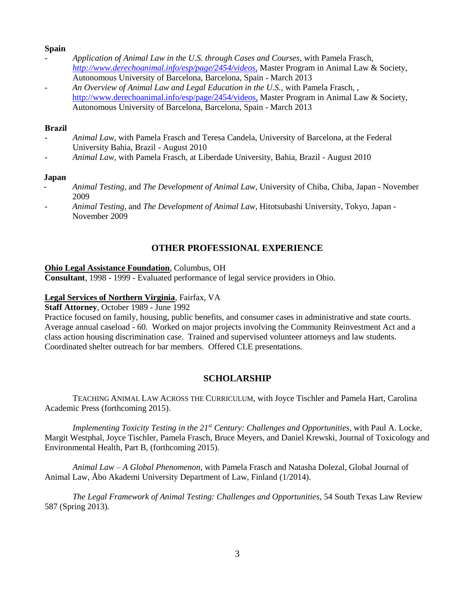#### **Spain**

- *Application of Animal Law in the U.S. through Cases and Courses*, with Pamela Frasch, *<http://www.derechoanimal.info/esp/page/2454/videos,>* Master Program in Animal Law & Society, Autonomous University of Barcelona, Barcelona, Spain - March 2013
- *An Overview of Animal Law and Legal Education in the U.S.,* with Pamela Frasch, , <http://www.derechoanimal.info/esp/page/2454/videos,> Master Program in Animal Law & Society, Autonomous University of Barcelona, Barcelona, Spain - March 2013

#### **Brazil**

- *Animal Law*, with Pamela Frasch and Teresa Candela, University of Barcelona, at the Federal University Bahia, Brazil - August 2010
- *Animal Law*, with Pamela Frasch, at Liberdade University, Bahia, Brazil August 2010

#### **Japan**

- *Animal Testing,* and *The Development of Animal Law,* University of Chiba, Chiba, Japan November 2009
- *Animal Testing,* and *The Development of Animal Law,* Hitotsubashi University, Tokyo, Japan November 2009

# **OTHER PROFESSIONAL EXPERIENCE**

#### **Ohio Legal Assistance Foundation**, Columbus, OH

**Consultant**, 1998 - 1999 - Evaluated performance of legal service providers in Ohio.

#### **Legal Services of Northern Virginia**, Fairfax, VA

**Staff Attorney**, October 1989 - June 1992

Practice focused on family, housing, public benefits, and consumer cases in administrative and state courts. Average annual caseload - 60. Worked on major projects involving the Community Reinvestment Act and a class action housing discrimination case. Trained and supervised volunteer attorneys and law students. Coordinated shelter outreach for bar members. Offered CLE presentations.

#### **SCHOLARSHIP**

TEACHING ANIMAL LAW ACROSS THE CURRICULUM, with Joyce Tischler and Pamela Hart, Carolina Academic Press (forthcoming 2015).

*Implementing Toxicity Testing in the 21st Century: Challenges and Opportunities*, with Paul A. Locke, Margit Westphal, Joyce Tischler, Pamela Frasch, Bruce Meyers, and Daniel Krewski, Journal of Toxicology and Environmental Health, Part B, (forthcoming 2015).

*Animal Law – A Global Phenomenon*, with Pamela Frasch and Natasha Dolezal, Global Journal of Animal Law, Åbo Akademi University Department of Law, Finland (1/2014).

*The Legal Framework of Animal Testing: Challenges and Opportunities,* 54 South Texas Law Review 587 (Spring 2013)*.*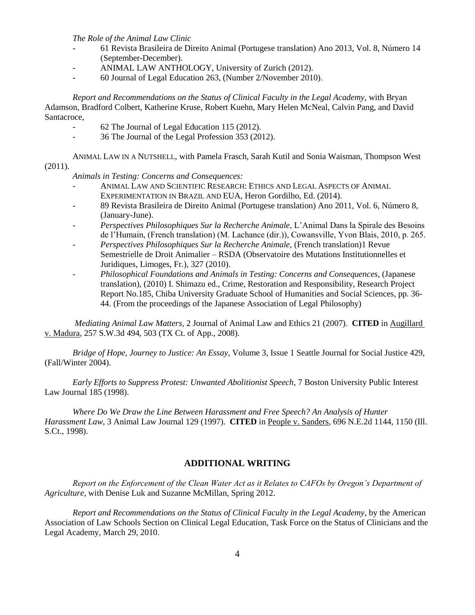*The Role of the Animal Law Clinic*

- 61 Revista Brasileira de Direito Animal (Portugese translation) Ano 2013, Vol. 8, Número 14 (September-December).
- ANIMAL LAW ANTHOLOGY, University of Zurich (2012).
- 60 Journal of Legal Education 263, (Number 2/November 2010).

*Report and Recommendations on the Status of Clinical Faculty in the Legal Academy*, with Bryan Adamson, Bradford Colbert, Katherine Kruse, Robert Kuehn, Mary Helen McNeal, Calvin Pang, and David Santacroce,

- 62 The Journal of Legal Education 115 (2012).
- 36 The Journal of the Legal Profession 353 (2012).

ANIMAL LAW IN A NUTSHELL, with Pamela Frasch, Sarah Kutil and Sonia Waisman, Thompson West (2011).

*Animals in Testing: Concerns and Consequences:*

- ANIMAL LAW AND SCIENTIFIC RESEARCH: ETHICS AND LEGAL ASPECTS OF ANIMAL EXPERIMENTATION IN BRAZIL AND EUA, Heron Gordilho, Ed. (2014).
- 89 Revista Brasileira de Direito Animal (Portugese translation) Ano 2011, Vol. 6, Número 8, (January-June).
- *Perspectives Philosophiques Sur la Recherche Animale*, L'Animal Dans la Spirale des Besoins de l'Humain, (French translation) (M. Lachance (dir.)), Cowansville, Yvon Blais, 2010, p. 265.
- *Perspectives Philosophiques Sur la Recherche Animale*, (French translation)1 Revue Semestrielle de Droit Animalier – RSDA (Observatoire des Mutations Institutionnelles et Juridiques, Limoges, Fr.), 327 (2010).
- *Philosophical Foundations and Animals in Testing: Concerns and Consequences*, (Japanese translation), (2010) I. Shimazu ed., Crime, Restoration and Responsibility, Research Project Report No.185, Chiba University Graduate School of Humanities and Social Sciences, pp. 36- 44. (From the proceedings of the Japanese Association of Legal Philosophy)

*Mediating Animal Law Matters*, 2 Journal of Animal Law and Ethics 21 (2007). **CITED** in Augillard v. Madura, 257 S.W.3d 494, 503 (TX Ct. of App., 2008).

*Bridge of Hope, Journey to Justice: An Essay*, Volume 3, Issue 1 Seattle Journal for Social Justice 429, (Fall/Winter 2004).

*Early Efforts to Suppress Protest: Unwanted Abolitionist Speech*, 7 Boston University Public Interest Law Journal 185 (1998).

*Where Do We Draw the Line Between Harassment and Free Speech? An Analysis of Hunter Harassment Law*, 3 Animal Law Journal 129 (1997). **CITED** in People v. Sanders, 696 N.E.2d 1144, 1150 (Ill. S.Ct., 1998).

### **ADDITIONAL WRITING**

*Report on the Enforcement of the Clean Water Act as it Relates to CAFOs by Oregon's Department of Agriculture*, with Denise Luk and Suzanne McMillan, Spring 2012.

*Report and Recommendations on the Status of Clinical Faculty in the Legal Academy*, by the American Association of Law Schools Section on Clinical Legal Education, Task Force on the Status of Clinicians and the Legal Academy, March 29, 2010.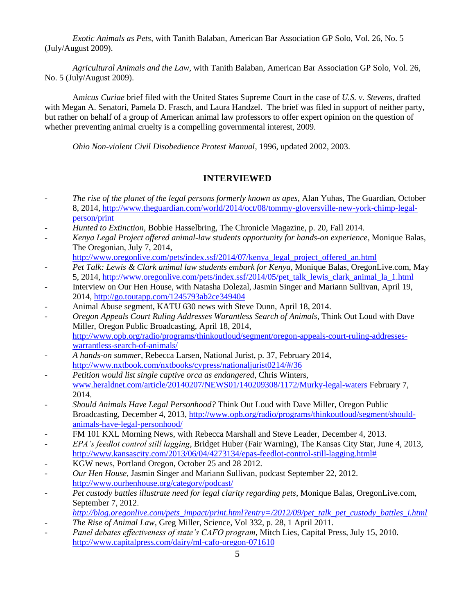*Exotic Animals as Pets*, with Tanith Balaban, American Bar Association GP Solo, Vol. 26, No. 5 (July/August 2009).

*Agricultural Animals and the Law*, with Tanith Balaban, American Bar Association GP Solo, Vol. 26, No. 5 (July/August 2009).

A*micus Curiae* brief filed with the United States Supreme Court in the case of *U.S. v. Stevens*, drafted with Megan A. Senatori, Pamela D. Frasch, and Laura Handzel. The brief was filed in support of neither party, but rather on behalf of a group of American animal law professors to offer expert opinion on the question of whether preventing animal cruelty is a compelling governmental interest, 2009.

*Ohio Non-violent Civil Disobedience Protest Manual*, 1996, updated 2002, 2003.

# **INTERVIEWED**

- *The rise of the planet of the legal persons formerly known as apes*, Alan Yuhas, The Guardian, October 8, 2014, [http://www.theguardian.com/world/2014/oct/08/tommy-gloversville-new-york-chimp-legal](http://www.theguardian.com/world/2014/oct/08/tommy-gloversville-new-york-chimp-legal-person/print)[person/print](http://www.theguardian.com/world/2014/oct/08/tommy-gloversville-new-york-chimp-legal-person/print)
- *Hunted to Extinction*, Bobbie Hasselbring, The Chronicle Magazine, p. 20, Fall 2014.
- *Kenya Legal Project offered animal-law students opportunity for hands-on experience*, Monique Balas, The Oregonian, July 7, 2014,
- [http://www.oregonlive.com/pets/index.ssf/2014/07/kenya\\_legal\\_project\\_offered\\_an.html](http://www.oregonlive.com/pets/index.ssf/2014/07/kenya_legal_project_offered_an.html)
- *Pet Talk: Lewis & Clark animal law students embark for Kenya,* Monique Balas, OregonLive.com, May 5, 2014, [http://www.oregonlive.com/pets/index.ssf/2014/05/pet\\_talk\\_lewis\\_clark\\_animal\\_la\\_1.html](http://www.oregonlive.com/pets/index.ssf/2014/05/pet_talk_lewis_clark_animal_la_1.html)
- Interview on Our Hen House, with Natasha Dolezal, Jasmin Singer and Mariann Sullivan, April 19, 2014,<http://go.toutapp.com/1245793ab2ce349404>
- Animal Abuse segment, KATU 630 news with Steve Dunn, April 18, 2014.
- *Oregon Appeals Court Ruling Addresses Warantless Search of Animals,* Think Out Loud with Dave Miller, Oregon Public Broadcasting, April 18, 2014, [http://www.opb.org/radio/programs/thinkoutloud/segment/oregon-appeals-court-ruling-addresses](http://www.opb.org/radio/programs/thinkoutloud/segment/oregon-appeals-court-ruling-addresses-warrantless-search-of-animals/)[warrantless-search-of-animals/](http://www.opb.org/radio/programs/thinkoutloud/segment/oregon-appeals-court-ruling-addresses-warrantless-search-of-animals/)
- *A hands-on summer*, Rebecca Larsen, National Jurist, p. 37, February 2014, <http://www.nxtbook.com/nxtbooks/cypress/nationaljurist0214/#/36>
- *Petition would list single captive orca as endangered*, Chris Winters, [www.heraldnet.com/article/20140207/NEWS01/140209308/1172/Murky-legal-waters](http://www.heraldnet.com/article/20140207/NEWS01/140209308/1172/Murky-legal-waters) February 7, 2014.
- *Should Animals Have Legal Personhood?* Think Out Loud with Dave Miller, Oregon Public Broadcasting, December 4, 2013[, http://www.opb.org/radio/programs/thinkoutloud/segment/should](http://www.opb.org/radio/programs/thinkoutloud/segment/should-animals-have-legal-personhood/)[animals-have-legal-personhood/](http://www.opb.org/radio/programs/thinkoutloud/segment/should-animals-have-legal-personhood/)
- FM 101 KXL Morning News, with Rebecca Marshall and Steve Leader, December 4, 2013.
- *EPA's feedlot control still lagging*, Bridget Huber (Fair Warning), The Kansas City Star, June 4, 2013, [http://www.kansascity.com/2013/06/04/4273134/epas-feedlot-control-still-lagging.html#](http://www.kansascity.com/2013/06/04/4273134/epas-feedlot-control-still-lagging.html)
- KGW news, Portland Oregon, October 25 and 28 2012.
- *Our Hen House*, Jasmin Singer and Mariann Sullivan, podcast September 22, 2012. <http://www.ourhenhouse.org/category/podcast/>
- *Pet custody battles illustrate need for legal clarity regarding pets*, Monique Balas, OregonLive.com, September 7, 2012.
- *[http://blog.oregonlive.com/pets\\_impact/print.html?entry=/2012/09/pet\\_talk\\_pet\\_custody\\_battles\\_i.html](http://blog.oregonlive.com/pets_impact/print.html?entry=/2012/09/pet_talk_pet_custody_battles_i.html)* - *The Rise of Animal Law*, Greg Miller, Science, Vol 332, p. 28, 1 April 2011.
- *Panel debates effectiveness of state's CAFO program*, Mitch Lies, Capital Press, July 15, 2010. <http://www.capitalpress.com/dairy/ml-cafo-oregon-071610>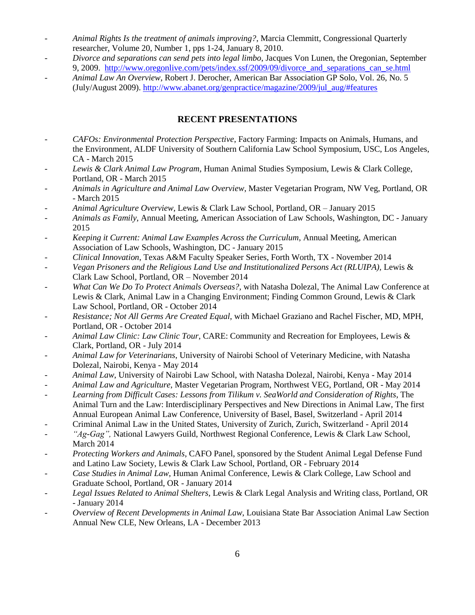- *Animal Rights Is the treatment of animals improving?*, Marcia Clemmitt, Congressional Quarterly researcher, Volume 20, Number 1, pps 1-24, January 8, 2010.
- *Divorce and separations can send pets into legal limbo*, Jacques Von Lunen, the Oregonian, September 9, 2009. [http://www.oregonlive.com/pets/index.ssf/2009/09/divorce\\_and\\_separations\\_can\\_se.html](http://www.oregonlive.com/pets/index.ssf/2009/09/divorce_and_separations_can_se.html)
- *Animal Law An Overview*, Robert J. Derocher, American Bar Association GP Solo, Vol. 26, No. 5 (July/August 2009). [http://www.abanet.org/genpractice/magazine/2009/jul\\_aug/#features](http://www.abanet.org/genpractice/magazine/2009/jul_aug/#features)

# **RECENT PRESENTATIONS**

- *CAFOs: Environmental Protection Perspective*, Factory Farming: Impacts on Animals, Humans, and the Environment, ALDF University of Southern California Law School Symposium, USC, Los Angeles, CA - March 2015
- *Lewis & Clark Animal Law Program*, Human Animal Studies Symposium, Lewis & Clark College, Portland, OR - March 2015
- *Animals in Agriculture and Animal Law Overview*, Master Vegetarian Program, NW Veg, Portland, OR - March 2015
- *Animal Agriculture Overview*, Lewis & Clark Law School, Portland, OR January 2015
- *Animals as Family*, Annual Meeting, American Association of Law Schools, Washington, DC January 2015
- *Keeping it Current: Animal Law Examples Across the Curriculum*, Annual Meeting, American Association of Law Schools, Washington, DC - January 2015
- *Clinical Innovation*, Texas A&M Faculty Speaker Series, Forth Worth, TX November 2014
- *Vegan Prisoners and the Religious Land Use and Institutionalized Persons Act (RLUIPA),* Lewis & Clark Law School, Portland, OR – November 2014
- *What Can We Do To Protect Animals Overseas?*, with Natasha Dolezal, The Animal Law Conference at Lewis & Clark, Animal Law in a Changing Environment; Finding Common Ground, Lewis & Clark Law School, Portland, OR - October 2014
- *Resistance; Not All Germs Are Created Equal*, with Michael Graziano and Rachel Fischer, MD, MPH, Portland, OR - October 2014
- *Animal Law Clinic: Law Clinic Tour*, CARE: Community and Recreation for Employees, Lewis & Clark, Portland, OR - July 2014
- *Animal Law for Veterinarians*, University of Nairobi School of Veterinary Medicine, with Natasha Dolezal, Nairobi, Kenya - May 2014
- *Animal Law*, University of Nairobi Law School, with Natasha Dolezal, Nairobi, Kenya May 2014
- *Animal Law and Agriculture*, Master Vegetarian Program, Northwest VEG, Portland, OR May 2014
- *Learning from Difficult Cases: Lessons from Tilikum v. SeaWorld and Consideration of Rights*, The Animal Turn and the Law: Interdisciplinary Perspectives and New Directions in Animal Law, The first Annual European Animal Law Conference, University of Basel, Basel, Switzerland - April 2014
- Criminal Animal Law in the United States, University of Zurich, Zurich, Switzerland April 2014
- "Ag-Gag", National Lawyers Guild, Northwest Regional Conference, Lewis & Clark Law School, March 2014
- *- Protecting Workers and Animals*, CAFO Panel, sponsored by the Student Animal Legal Defense Fund and Latino Law Society, Lewis & Clark Law School, Portland, OR - February 2014
- *Case Studies in Animal Law*, Human Animal Conference, Lewis & Clark College, Law School and Graduate School, Portland, OR - January 2014
- *Legal Issues Related to Animal Shelters*, Lewis & Clark Legal Analysis and Writing class, Portland, OR - January 2014
- *Overview of Recent Developments in Animal Law*, Louisiana State Bar Association Animal Law Section Annual New CLE, New Orleans, LA - December 2013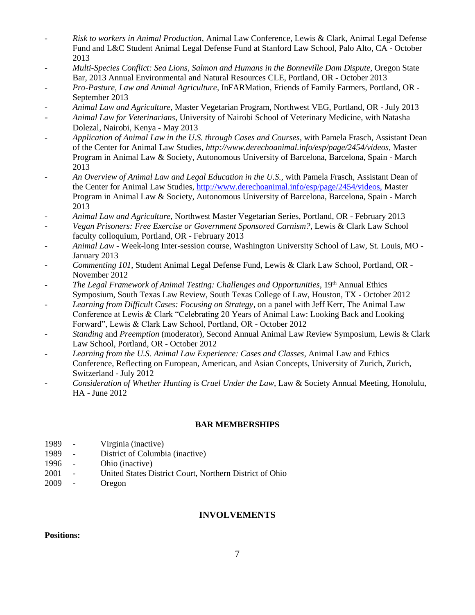- *Risk to workers in Animal Production*, Animal Law Conference, Lewis & Clark, Animal Legal Defense Fund and L&C Student Animal Legal Defense Fund at Stanford Law School, Palo Alto, CA - October 2013
- *Multi-Species Conflict: Sea Lions, Salmon and Humans in the Bonneville Dam Dispute*, Oregon State Bar, 2013 Annual Environmental and Natural Resources CLE, Portland, OR - October 2013
- *Pro-Pasture, Law and Animal Agriculture*, InFARMation, Friends of Family Farmers, Portland, OR September 2013
- *- Animal Law and Agriculture*, Master Vegetarian Program, Northwest VEG, Portland, OR July 2013
- *Animal Law for Veterinarians*, University of Nairobi School of Veterinary Medicine, with Natasha Dolezal, Nairobi, Kenya - May 2013
- *Application of Animal Law in the U.S. through Cases and Courses*, with Pamela Frasch, Assistant Dean of the Center for Animal Law Studies, *<http://www.derechoanimal.info/esp/page/2454/videos,>* Master Program in Animal Law & Society, Autonomous University of Barcelona, Barcelona, Spain - March 2013
- *An Overview of Animal Law and Legal Education in the U.S.,* with Pamela Frasch, Assistant Dean of the Center for Animal Law Studies, <http://www.derechoanimal.info/esp/page/2454/videos,> Master Program in Animal Law & Society, Autonomous University of Barcelona, Barcelona, Spain - March 2013
- *Animal Law and Agriculture*, Northwest Master Vegetarian Series, Portland, OR February 2013
- *Vegan Prisoners: Free Exercise or Government Sponsored Carnism?*, Lewis & Clark Law School faculty colloquium, Portland, OR - February 2013
- *Animal Law* Week-long Inter-session course, Washington University School of Law, St. Louis, MO January 2013
- *Commenting 101*, Student Animal Legal Defense Fund, Lewis & Clark Law School, Portland, OR November 2012
- The Legal Framework of Animal Testing: Challenges and Opportunities, 19<sup>th</sup> Annual Ethics Symposium, South Texas Law Review, South Texas College of Law, Houston, TX - October 2012
- *Learning from Difficult Cases: Focusing on Strategy*, on a panel with Jeff Kerr, The Animal Law Conference at Lewis & Clark "Celebrating 20 Years of Animal Law: Looking Back and Looking Forward", Lewis & Clark Law School, Portland, OR - October 2012
- *Standing* and *Preemption* (moderator), Second Annual Animal Law Review Symposium, Lewis & Clark Law School, Portland, OR - October 2012
- *Learning from the U.S. Animal Law Experience: Cases and Classes*, Animal Law and Ethics Conference, Reflecting on European, American, and Asian Concepts, University of Zurich, Zurich, Switzerland - July 2012
- *Consideration of Whether Hunting is Cruel Under the Law*, Law & Society Annual Meeting, Honolulu, HA - June 2012

## **BAR MEMBERSHIPS**

- 1989 Virginia (inactive)
- 1989 District of Columbia (inactive)
- 1996 Ohio (inactive)
- 2001 United States District Court, Northern District of Ohio
- 2009 Oregon

# **INVOLVEMENTS**

#### **Positions:**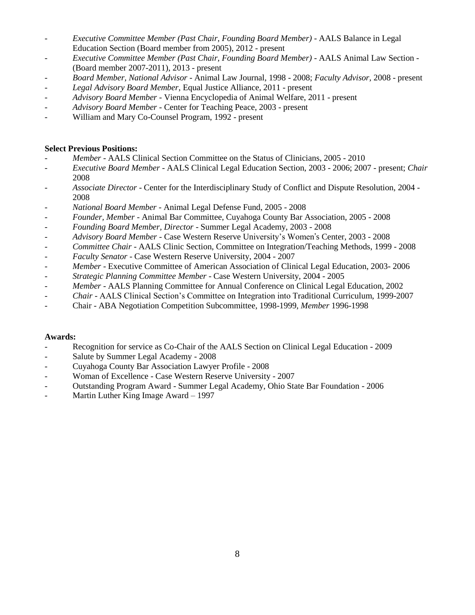- *Executive Committee Member (Past Chair, Founding Board Member)* AALS Balance in Legal Education Section (Board member from 2005), 2012 - present
- *Executive Committee Member (Past Chair, Founding Board Member)* AALS Animal Law Section (Board member 2007-2011), 2013 - present
- *Board Member, National Advisor*  Animal Law Journal, 1998 2008; *Faculty Advisor,* 2008 present
- *Legal Advisory Board Member*, Equal Justice Alliance, 2011 present
- *Advisory Board Member* Vienna Encyclopedia of Animal Welfare, 2011 present
- *Advisory Board Member* Center for Teaching Peace, 2003 present
- William and Mary Co-Counsel Program, 1992 present

#### **Select Previous Positions:**

- *Member* AALS Clinical Section Committee on the Status of Clinicians, 2005 2010
- *Executive Board Member*  AALS Clinical Legal Education Section, 2003 2006; 2007 present; *Chair*  2008
- *Associate Director* Center for the Interdisciplinary Study of Conflict and Dispute Resolution, 2004 2008
- *National Board Member* Animal Legal Defense Fund, 2005 2008
- *Founder, Member* Animal Bar Committee, Cuyahoga County Bar Association, 2005 2008
- *Founding Board Member, Director* Summer Legal Academy, 2003 2008
- *Advisory Board Member*  Case Western Reserve University's Women's Center, 2003 2008
- *Committee Chair* AALS Clinic Section, Committee on Integration/Teaching Methods, 1999 2008
- *Faculty Senator* Case Western Reserve University, 2004 2007
- *Member* Executive Committee of American Association of Clinical Legal Education, 2003- 2006
- *Strategic Planning Committee Member*  Case Western University, 2004 2005
- *Member*  AALS Planning Committee for Annual Conference on Clinical Legal Education, 2002
- *Chair* AALS Clinical Section's Committee on Integration into Traditional Curriculum, 1999-2007
- Chair ABA Negotiation Competition Subcommittee, 1998-1999, *Member* 1996-1998

#### **Awards:**

- Recognition for service as Co-Chair of the AALS Section on Clinical Legal Education 2009
- Salute by Summer Legal Academy 2008
- Cuyahoga County Bar Association Lawyer Profile 2008
- Woman of Excellence Case Western Reserve University 2007
- Outstanding Program Award Summer Legal Academy, Ohio State Bar Foundation 2006
- Martin Luther King Image Award 1997